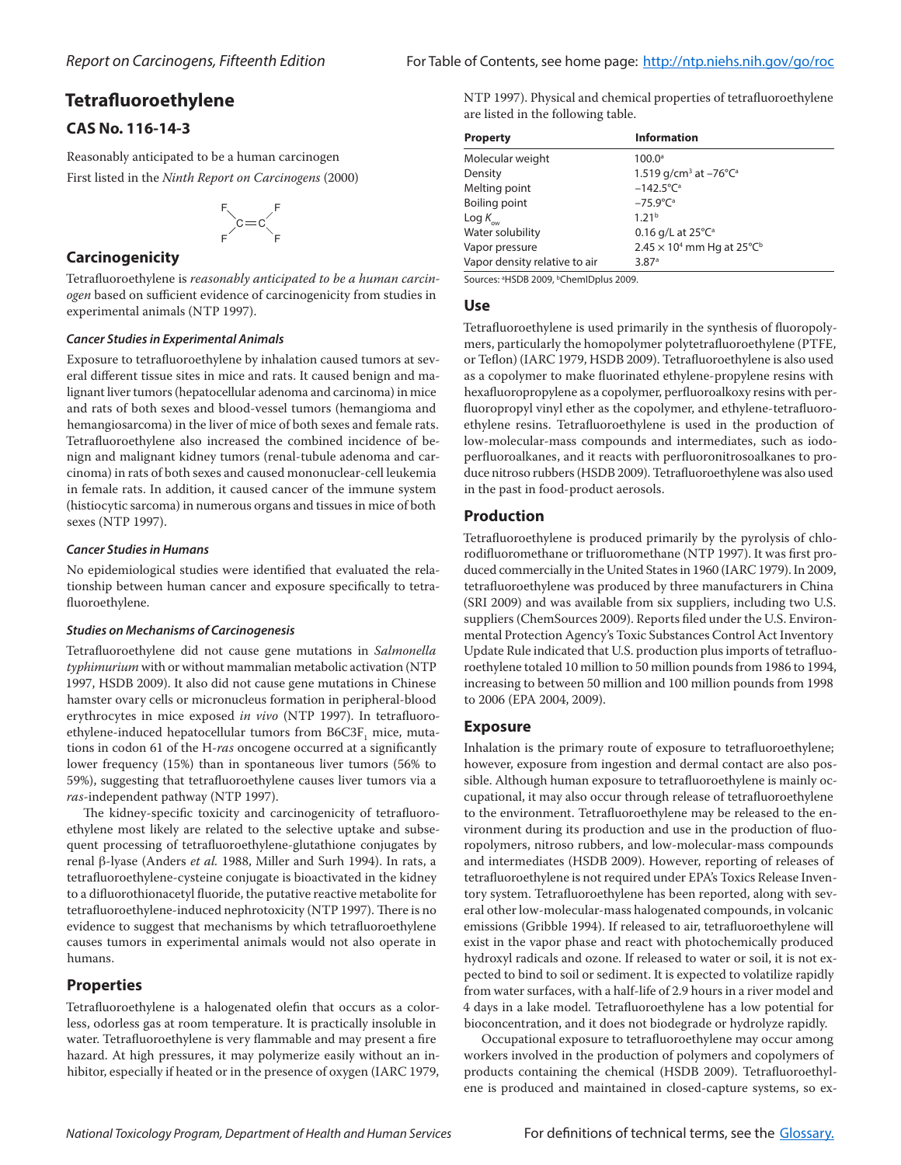# **Tetrafluoroethylene**

## **CAS No. 116-14-3**

Reasonably anticipated to be a human carcinogen First listed in the *Ninth Report on Carcinogens* (2000)



## **Carcinogenicity**

Tetrafluoroethylene is *reasonably anticipated to be a human carcinogen* based on sufficient evidence of carcinogenicity from studies in experimental animals (NTP 1997).

#### *Cancer Studies in Experimental Animals*

Exposure to tetrafluoroethylene by inhalation caused tumors at several different tissue sites in mice and rats. It caused benign and malignant liver tumors (hepatocellular adenoma and carcinoma) in mice and rats of both sexes and blood-vessel tumors (hemangioma and hemangiosarcoma) in the liver of mice of both sexes and female rats. Tetrafluoroethylene also increased the combined incidence of benign and malignant kidney tumors (renal-tubule adenoma and carcinoma) in rats of both sexes and caused mononuclear-cell leukemia in female rats. In addition, it caused cancer of the immune system (histiocytic sarcoma) in numerous organs and tissues in mice of both sexes (NTP 1997).

#### *Cancer Studies in Humans*

No epidemiological studies were identified that evaluated the relationship between human cancer and exposure specifically to tetrafluoroethylene.

#### *Studies on Mechanisms of Carcinogenesis*

Tetrafluoroethylene did not cause gene mutations in *Salmonella typhimurium* with or without mammalian metabolic activation (NTP 1997, HSDB 2009). It also did not cause gene mutations in Chinese hamster ovary cells or micronucleus formation in peripheral-blood erythrocytes in mice exposed *in vivo* (NTP 1997). In tetrafluoroethylene-induced hepatocellular tumors from  $\mathrm{B6C3F}_1$  mice, mutations in codon 61 of the H-*ras* oncogene occurred at a significantly lower frequency (15%) than in spontaneous liver tumors (56% to 59%), suggesting that tetrafluoroethylene causes liver tumors via a *ras*-independent pathway (NTP 1997).

The kidney-specific toxicity and carcinogenicity of tetrafluoroethylene most likely are related to the selective uptake and subsequent processing of tetrafluoroethylene-glutathione conjugates by renal b-lyase (Anders *et al.* 1988, Miller and Surh 1994). In rats, a tetrafluoroethylene-cysteine conjugate is bioactivated in the kidney to a difluorothionacetyl fluoride, the putative reactive metabolite for tetrafluoroethylene-induced nephrotoxicity (NTP 1997). There is no evidence to suggest that mechanisms by which tetrafluoroethylene causes tumors in experimental animals would not also operate in humans.

## **Properties**

Tetrafluoroethylene is a halogenated olefin that occurs as a colorless, odorless gas at room temperature. It is practically insoluble in water. Tetrafluoroethylene is very flammable and may present a fire hazard. At high pressures, it may polymerize easily without an inhibitor, especially if heated or in the presence of oxygen (IARC 1979, NTP 1997). Physical and chemical properties of tetrafluoroethylene are listed in the following table.

| <b>Property</b>               | <b>Information</b>                                      |
|-------------------------------|---------------------------------------------------------|
| Molecular weight              | $100.0^{\circ}$                                         |
| Density                       | 1.519 g/cm <sup>3</sup> at $-76^{\circ}$ C <sup>a</sup> |
| Melting point                 | $-142.5^{\circ}C^{a}$                                   |
| Boiling point                 | $-75.9^{\circ}C^{a}$                                    |
| Log $K_{_{\rm{ow}}}$          | 1.21 <sup>b</sup>                                       |
| Water solubility              | 0.16 g/L at $25^{\circ}C^{\circ}$                       |
| Vapor pressure                | $2.45 \times 10^4$ mm Hg at 25°C <sup>b</sup>           |
| Vapor density relative to air | 3.87 <sup>a</sup>                                       |

Sources: <sup>a</sup>HSDB 2009, <sup>b</sup>ChemIDplus 2009.

#### **Use**

Tetrafluoroethylene is used primarily in the synthesis of fluoropolymers, particularly the homopolymer polytetrafluoroethylene (PTFE, or Teflon) (IARC 1979, HSDB 2009). Tetrafluoroethylene is also used as a copolymer to make fluorinated ethylene-propylene resins with hexafluoropropylene as a copolymer, perfluoroalkoxy resins with perfluoropropyl vinyl ether as the copolymer, and ethylene-tetrafluoroethylene resins. Tetrafluoroethylene is used in the production of low-molecular-mass compounds and intermediates, such as iodoperfluoroalkanes, and it reacts with perfluoronitrosoalkanes to produce nitroso rubbers (HSDB 2009). Tetrafluoroethylene was also used in the past in food-product aerosols.

#### **Production**

Tetrafluoroethylene is produced primarily by the pyrolysis of chlorodifluoromethane or trifluoromethane (NTP 1997). It was first produced commercially in the United States in 1960 (IARC 1979). In 2009, tetrafluoroethylene was produced by three manufacturers in China (SRI 2009) and was available from six suppliers, including two U.S. suppliers (ChemSources 2009). Reports filed under the U.S. Environmental Protection Agency's Toxic Substances Control Act Inventory Update Rule indicated that U.S. production plus imports of tetrafluoroethylene totaled 10 million to 50 million pounds from 1986 to 1994, increasing to between 50 million and 100 million pounds from 1998 to 2006 (EPA 2004, 2009).

## **Exposure**

Inhalation is the primary route of exposure to tetrafluoroethylene; however, exposure from ingestion and dermal contact are also possible. Although human exposure to tetrafluoroethylene is mainly occupational, it may also occur through release of tetrafluoroethylene to the environment. Tetrafluoroethylene may be released to the environment during its production and use in the production of fluoropolymers, nitroso rubbers, and low-molecular-mass compounds and intermediates (HSDB 2009). However, reporting of releases of tetrafluoroethylene is not required under EPA's Toxics Release Inventory system. Tetrafluoroethylene has been reported, along with several other low-molecular-mass halogenated compounds, in volcanic emissions (Gribble 1994). If released to air, tetrafluoroethylene will exist in the vapor phase and react with photochemically produced hydroxyl radicals and ozone. If released to water or soil, it is not expected to bind to soil or sediment. It is expected to volatilize rapidly from water surfaces, with a half-life of 2.9 hours in a river model and 4 days in a lake model. Tetrafluoroethylene has a low potential for bioconcentration, and it does not biodegrade or hydrolyze rapidly.

Occupational exposure to tetrafluoroethylene may occur among workers involved in the production of polymers and copolymers of products containing the chemical (HSDB 2009). Tetrafluoroethylene is produced and maintained in closed-capture systems, so ex-